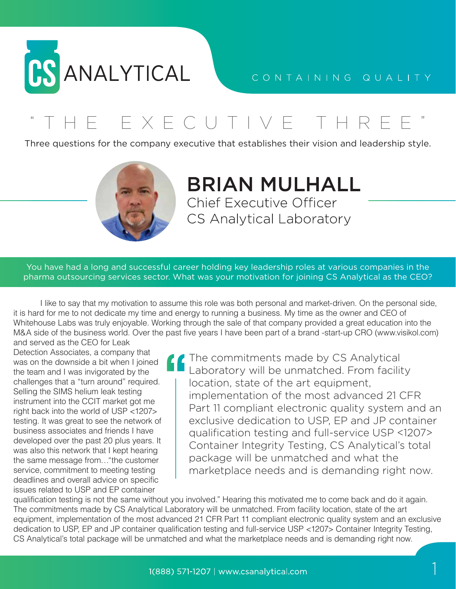

## CONTAINING QUALITY

THE EXECUTIVE THRE

Three questions for the company executive that establishes their vision and leadership style.



## **BRIAN MULHALL Chief Executive Officer** CS Analytical Laboratory

You have had a long and successful career holding key leadership roles at various companies in the pharma outsourcing services sector. What was your motivation for joining CS Analytical as the CEO?

 I like to say that my motivation to assume this role was both personal and market-driven. On the personal side, it is hard for me to not dedicate my time and energy to running a business. My time as the owner and CEO of Whitehouse Labs was truly enjoyable. Working through the sale of that company provided a great education into the M&A side of the business world. Over the past five years I have been part of a brand -start-up CRO (www.visikol.com) and served as the CEO for Leak

Detection Associates, a company that was on the downside a bit when I joined the team and I was invigorated by the challenges that a "turn around" required. Selling the SIMS helium leak testing instrument into the CCIT market got me right back into the world of USP <1207> testing. It was great to see the network of business associates and friends I have developed over the past 20 plus years. It was also this network that I kept hearing the same message from…"the customer service, commitment to meeting testing deadlines and overall advice on specific issues related to USP and EP container

The commitments made by CS Analytical Laboratory will be unmatched. From facility location, state of the art equipment, implementation of the most advanced 21 CFR Part 11 compliant electronic quality system and an exclusive dedication to USP, EP and JP container qualification testing and full-service USP <1207> Container Integrity Testing, CS Analytical's total package will be unmatched and what the marketplace needs and is demanding right now.

qualification testing is not the same without you involved." Hearing this motivated me to come back and do it again. The commitments made by CS Analytical Laboratory will be unmatched. From facility location, state of the art equipment, implementation of the most advanced 21 CFR Part 11 compliant electronic quality system and an exclusive dedication to USP, EP and JP container qualification testing and full-service USP <1207> Container Integrity Testing, CS Analytical's total package will be unmatched and what the marketplace needs and is demanding right now.